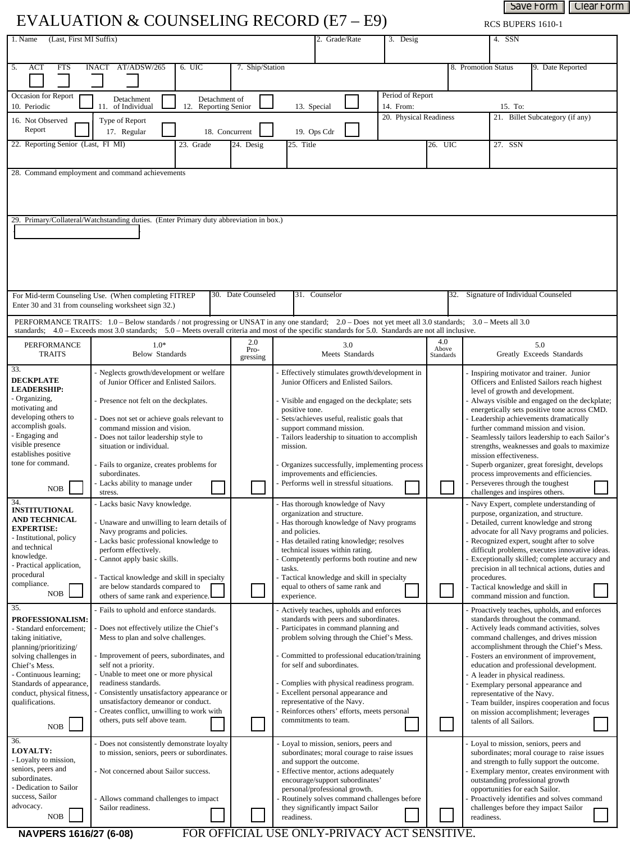| Save Form<br>Clear Form<br>EVALUATION & COUNSELING RECORD (E7 – E9)<br>RCS BUPERS 1610-1 |                                                                                                                                                                                                                                                                                                                    |                                                 |                                                                                                                |                                                                                |                                                                                       |                                           |                                                                  |                                                                                                                                                                                                                                                                |                                                                                                |  |
|------------------------------------------------------------------------------------------|--------------------------------------------------------------------------------------------------------------------------------------------------------------------------------------------------------------------------------------------------------------------------------------------------------------------|-------------------------------------------------|----------------------------------------------------------------------------------------------------------------|--------------------------------------------------------------------------------|---------------------------------------------------------------------------------------|-------------------------------------------|------------------------------------------------------------------|----------------------------------------------------------------------------------------------------------------------------------------------------------------------------------------------------------------------------------------------------------------|------------------------------------------------------------------------------------------------|--|
| (Last, First MI Suffix)<br>1. Name                                                       |                                                                                                                                                                                                                                                                                                                    |                                                 |                                                                                                                |                                                                                | 2. Grade/Rate                                                                         | 3. Desig                                  |                                                                  |                                                                                                                                                                                                                                                                | 4. SSN                                                                                         |  |
|                                                                                          |                                                                                                                                                                                                                                                                                                                    |                                                 |                                                                                                                |                                                                                |                                                                                       |                                           |                                                                  |                                                                                                                                                                                                                                                                |                                                                                                |  |
| 5.<br>ACT<br><b>FTS</b>                                                                  | AT/ADSW/265<br><b>INACT</b>                                                                                                                                                                                                                                                                                        | 6. UIC                                          | 7. Ship/Station                                                                                                |                                                                                |                                                                                       |                                           |                                                                  | 8. Promotion Status                                                                                                                                                                                                                                            | 9. Date Reported<br>$\blacktriangledown$                                                       |  |
| Occasion for Report<br>10. Periodic                                                      | Detachment<br>11.<br>of Individual                                                                                                                                                                                                                                                                                 | Detachment of<br>12.<br><b>Reporting Senior</b> |                                                                                                                |                                                                                | 13. Special                                                                           | Period of Report<br>14. From:             |                                                                  |                                                                                                                                                                                                                                                                | 15. To:                                                                                        |  |
| 16. Not Observed                                                                         | Type of Report                                                                                                                                                                                                                                                                                                     |                                                 |                                                                                                                |                                                                                |                                                                                       | 20. Physical Readiness                    |                                                                  |                                                                                                                                                                                                                                                                | 21. Billet Subcategory (if any)                                                                |  |
| Report                                                                                   | 17. Regular                                                                                                                                                                                                                                                                                                        | 18. Concurrent                                  |                                                                                                                |                                                                                | 19. Ops Cdr                                                                           |                                           |                                                                  | $\blacktriangleright$                                                                                                                                                                                                                                          | $\vert \blacktriangledown$                                                                     |  |
| 22. Reporting Senior (Last, FI MI)                                                       |                                                                                                                                                                                                                                                                                                                    | 23. Grade                                       | 24. Desig                                                                                                      | 25. Title                                                                      |                                                                                       |                                           | 26. UIC                                                          |                                                                                                                                                                                                                                                                | 27. SSN                                                                                        |  |
| 28. Command employment and command achievements                                          |                                                                                                                                                                                                                                                                                                                    |                                                 |                                                                                                                |                                                                                |                                                                                       |                                           |                                                                  |                                                                                                                                                                                                                                                                |                                                                                                |  |
|                                                                                          |                                                                                                                                                                                                                                                                                                                    |                                                 |                                                                                                                |                                                                                |                                                                                       |                                           |                                                                  |                                                                                                                                                                                                                                                                |                                                                                                |  |
|                                                                                          | 29. Primary/Collateral/Watchstanding duties. (Enter Primary duty abbreviation in box.)                                                                                                                                                                                                                             |                                                 |                                                                                                                |                                                                                |                                                                                       |                                           |                                                                  |                                                                                                                                                                                                                                                                |                                                                                                |  |
|                                                                                          |                                                                                                                                                                                                                                                                                                                    |                                                 |                                                                                                                |                                                                                |                                                                                       |                                           |                                                                  |                                                                                                                                                                                                                                                                |                                                                                                |  |
|                                                                                          |                                                                                                                                                                                                                                                                                                                    |                                                 |                                                                                                                |                                                                                |                                                                                       |                                           |                                                                  |                                                                                                                                                                                                                                                                |                                                                                                |  |
|                                                                                          |                                                                                                                                                                                                                                                                                                                    |                                                 |                                                                                                                |                                                                                |                                                                                       |                                           |                                                                  |                                                                                                                                                                                                                                                                |                                                                                                |  |
|                                                                                          |                                                                                                                                                                                                                                                                                                                    |                                                 |                                                                                                                |                                                                                |                                                                                       |                                           |                                                                  |                                                                                                                                                                                                                                                                |                                                                                                |  |
|                                                                                          | For Mid-term Counseling Use. (When completing FITREP<br>Enter 30 and 31 from counseling worksheet sign 32.)                                                                                                                                                                                                        |                                                 | 30. Date Counseled                                                                                             |                                                                                | 31. Counselor                                                                         |                                           |                                                                  |                                                                                                                                                                                                                                                                | 32. Signature of Individual Counseled                                                          |  |
|                                                                                          | PERFORMANCE TRAITS: 1.0 - Below standards / not progressing or UNSAT in any one standard; 2.0 - Does not yet meet all 3.0 standards; 3.0 - Meets all 3.0<br>standards; 4.0 - Exceeds most 3.0 standards; 5.0 - Meets overall criteria and most of the specific standards for 5.0. Standards are not all inclusive. |                                                 |                                                                                                                |                                                                                |                                                                                       |                                           |                                                                  |                                                                                                                                                                                                                                                                |                                                                                                |  |
| PERFORMANCE<br><b>TRAITS</b>                                                             | $1.0*$<br>Below Standards                                                                                                                                                                                                                                                                                          | 2.0<br>Pro-<br>gressing                         |                                                                                                                | Meets Standards                                                                | 4.0<br>Above<br>Standards                                                             |                                           | 5.0<br>Greatly Exceeds Standards                                 |                                                                                                                                                                                                                                                                |                                                                                                |  |
| 33.<br><b>DECKPLATE</b>                                                                  | Neglects growth/development or welfare<br>of Junior Officer and Enlisted Sailors.                                                                                                                                                                                                                                  |                                                 |                                                                                                                |                                                                                | Effectively stimulates growth/development in<br>Junior Officers and Enlisted Sailors. |                                           |                                                                  |                                                                                                                                                                                                                                                                | Inspiring motivator and trainer. Junior                                                        |  |
| <b>LEADERSHIP:</b><br>- Organizing,                                                      |                                                                                                                                                                                                                                                                                                                    |                                                 |                                                                                                                |                                                                                |                                                                                       |                                           |                                                                  | Officers and Enlisted Sailors reach highest<br>level of growth and development.<br>Always visible and engaged on the deckplate;<br>energetically sets positive tone across CMD.<br>Leadership achievements dramatically<br>further command mission and vision. |                                                                                                |  |
| motivating and                                                                           | Presence not felt on the deckplates.                                                                                                                                                                                                                                                                               |                                                 |                                                                                                                | positive tone.                                                                 | Visible and engaged on the deckplate; sets                                            |                                           |                                                                  |                                                                                                                                                                                                                                                                |                                                                                                |  |
| developing others to<br>accomplish goals.                                                | Does not set or achieve goals relevant to<br>command mission and vision.                                                                                                                                                                                                                                           |                                                 |                                                                                                                |                                                                                | Sets/achieves useful, realistic goals that<br>support command mission.                |                                           |                                                                  |                                                                                                                                                                                                                                                                |                                                                                                |  |
| - Engaging and<br>visible presence                                                       | Does not tailor leadership style to<br>situation or individual.                                                                                                                                                                                                                                                    |                                                 |                                                                                                                | mission.                                                                       | Tailors leadership to situation to accomplish                                         |                                           |                                                                  |                                                                                                                                                                                                                                                                | Seamlessly tailors leadership to each Sailor's<br>strengths, weaknesses and goals to maximize  |  |
| establishes positive<br>tone for command.                                                | Fails to organize, creates problems for                                                                                                                                                                                                                                                                            |                                                 |                                                                                                                |                                                                                |                                                                                       |                                           |                                                                  | mission effectiveness.<br>Superb organizer, great foresight, develops                                                                                                                                                                                          |                                                                                                |  |
|                                                                                          | subordinates.                                                                                                                                                                                                                                                                                                      |                                                 |                                                                                                                |                                                                                | Organizes successfully, implementing process<br>improvements and efficiencies.        |                                           |                                                                  | process improvements and efficiencies.                                                                                                                                                                                                                         |                                                                                                |  |
| NOB                                                                                      | - Lacks ability to manage under<br>stress                                                                                                                                                                                                                                                                          |                                                 |                                                                                                                |                                                                                | Performs well in stressful situations.                                                |                                           |                                                                  |                                                                                                                                                                                                                                                                | Perseveres through the toughest<br>challenges and inspires others.                             |  |
| 34.<br><b>INSTITUTIONAL</b>                                                              | - Lacks basic Navy knowledge.                                                                                                                                                                                                                                                                                      |                                                 |                                                                                                                |                                                                                | Has thorough knowledge of Navy<br>organization and structure.                         |                                           |                                                                  |                                                                                                                                                                                                                                                                | Navy Expert, complete understanding of<br>purpose, organization, and structure.                |  |
| <b>AND TECHNICAL</b><br><b>EXPERTISE:</b>                                                | Unaware and unwilling to learn details of                                                                                                                                                                                                                                                                          |                                                 |                                                                                                                |                                                                                | Has thorough knowledge of Navy programs                                               |                                           |                                                                  |                                                                                                                                                                                                                                                                | Detailed, current knowledge and strong                                                         |  |
| - Institutional, policy                                                                  | Navy programs and policies.<br>- Lacks basic professional knowledge to                                                                                                                                                                                                                                             |                                                 |                                                                                                                | and policies.                                                                  | Has detailed rating knowledge; resolves                                               |                                           |                                                                  | advocate for all Navy programs and policies.<br>Recognized expert, sought after to solve                                                                                                                                                                       |                                                                                                |  |
| and technical<br>knowledge.                                                              | perform effectively.<br>Cannot apply basic skills.                                                                                                                                                                                                                                                                 |                                                 |                                                                                                                |                                                                                | technical issues within rating.                                                       | Competently performs both routine and new |                                                                  |                                                                                                                                                                                                                                                                | difficult problems, executes innovative ideas.<br>Exceptionally skilled; complete accuracy and |  |
| - Practical application,<br>procedural                                                   | Tactical knowledge and skill in specialty                                                                                                                                                                                                                                                                          |                                                 |                                                                                                                | tasks.                                                                         | Tactical knowledge and skill in specialty                                             | procedures.                               |                                                                  |                                                                                                                                                                                                                                                                | precision in all technical actions, duties and                                                 |  |
| compliance.<br>NOB                                                                       | are below standards compared to                                                                                                                                                                                                                                                                                    |                                                 |                                                                                                                | equal to others of same rank and                                               |                                                                                       |                                           |                                                                  | Tactical knowledge and skill in<br>command mission and function.                                                                                                                                                                                               |                                                                                                |  |
| 35.                                                                                      | others of same rank and experience.<br>Fails to uphold and enforce standards.                                                                                                                                                                                                                                      |                                                 |                                                                                                                | experience.                                                                    | Actively teaches, upholds and enforces                                                |                                           |                                                                  |                                                                                                                                                                                                                                                                | Proactively teaches, upholds, and enforces                                                     |  |
| <b>PROFESSIONALISM:</b><br>- Standard enforcement;                                       | Does not effectively utilize the Chief's                                                                                                                                                                                                                                                                           |                                                 |                                                                                                                | standards with peers and subordinates.<br>Participates in command planning and |                                                                                       |                                           |                                                                  | standards throughout the command.<br>Actively leads command activities, solves                                                                                                                                                                                 |                                                                                                |  |
| taking initiative,                                                                       | Mess to plan and solve challenges.                                                                                                                                                                                                                                                                                 |                                                 |                                                                                                                | problem solving through the Chief's Mess.                                      |                                                                                       |                                           | command challenges, and drives mission                           |                                                                                                                                                                                                                                                                |                                                                                                |  |
| planning/prioritizing/<br>solving challenges in                                          | Improvement of peers, subordinates, and                                                                                                                                                                                                                                                                            |                                                 |                                                                                                                | Committed to professional education/training                                   |                                                                                       |                                           |                                                                  | accomplishment through the Chief's Mess.<br>Fosters an environment of improvement,                                                                                                                                                                             |                                                                                                |  |
| Chief's Mess.<br>Continuous learning;                                                    | self not a priority.<br>Unable to meet one or more physical                                                                                                                                                                                                                                                        |                                                 |                                                                                                                | for self and subordinates.                                                     |                                                                                       |                                           |                                                                  | education and professional development.<br>A leader in physical readiness.                                                                                                                                                                                     |                                                                                                |  |
| Standards of appearance,<br>conduct, physical fitness,                                   | readiness standards.<br>Consistently unsatisfactory appearance or                                                                                                                                                                                                                                                  |                                                 |                                                                                                                | Complies with physical readiness program.                                      |                                                                                       |                                           | Exemplary personal appearance and<br>representative of the Navy. |                                                                                                                                                                                                                                                                |                                                                                                |  |
| qualifications.                                                                          | unsatisfactory demeanor or conduct.                                                                                                                                                                                                                                                                                |                                                 | Excellent personal appearance and<br>representative of the Navy.<br>Reinforces others' efforts, meets personal |                                                                                |                                                                                       |                                           |                                                                  | Team builder, inspires cooperation and focus                                                                                                                                                                                                                   |                                                                                                |  |
| $\rm NOB$                                                                                | Creates conflict, unwilling to work with<br>others, puts self above team.                                                                                                                                                                                                                                          |                                                 |                                                                                                                |                                                                                | commitments to team.                                                                  |                                           |                                                                  |                                                                                                                                                                                                                                                                | on mission accomplishment; leverages<br>talents of all Sailors.                                |  |
| 36.                                                                                      | - Does not consistently demonstrate loyalty                                                                                                                                                                                                                                                                        |                                                 |                                                                                                                |                                                                                | - Loyal to mission, seniors, peers and                                                |                                           |                                                                  |                                                                                                                                                                                                                                                                | Loyal to mission, seniors, peers and                                                           |  |
| LOYALTY:<br>- Loyalty to mission,                                                        | to mission, seniors, peers or subordinates.                                                                                                                                                                                                                                                                        |                                                 |                                                                                                                |                                                                                | subordinates; moral courage to raise issues                                           |                                           |                                                                  |                                                                                                                                                                                                                                                                | subordinates; moral courage to raise issues                                                    |  |
| seniors, peers and                                                                       | - Not concerned about Sailor success.                                                                                                                                                                                                                                                                              |                                                 |                                                                                                                |                                                                                | and support the outcome.<br>Effective mentor, actions adequately                      |                                           |                                                                  |                                                                                                                                                                                                                                                                | and strength to fully support the outcome.<br>Exemplary mentor, creates environment with       |  |
| subordinates.<br>- Dedication to Sailor                                                  |                                                                                                                                                                                                                                                                                                                    |                                                 |                                                                                                                |                                                                                | encourage/support subordinates'<br>personal/professional growth.                      |                                           |                                                                  |                                                                                                                                                                                                                                                                | outstanding professional growth<br>opportunities for each Sailor.                              |  |
| success, Sailor                                                                          | - Allows command challenges to impact                                                                                                                                                                                                                                                                              |                                                 |                                                                                                                |                                                                                | Routinely solves command challenges before                                            |                                           |                                                                  |                                                                                                                                                                                                                                                                | Proactively identifies and solves command                                                      |  |

**NAVPERS 1616/27 (6-08)** 

Sailor readiness.

 $\rm{NOB}$ 

advocacy.

FOR OFFICIAL USE ONLY-PRIVACY ACT SENSITIVE.

readiness.

they significantly impact Sailor

challenges before they impact Sailor

readiness.